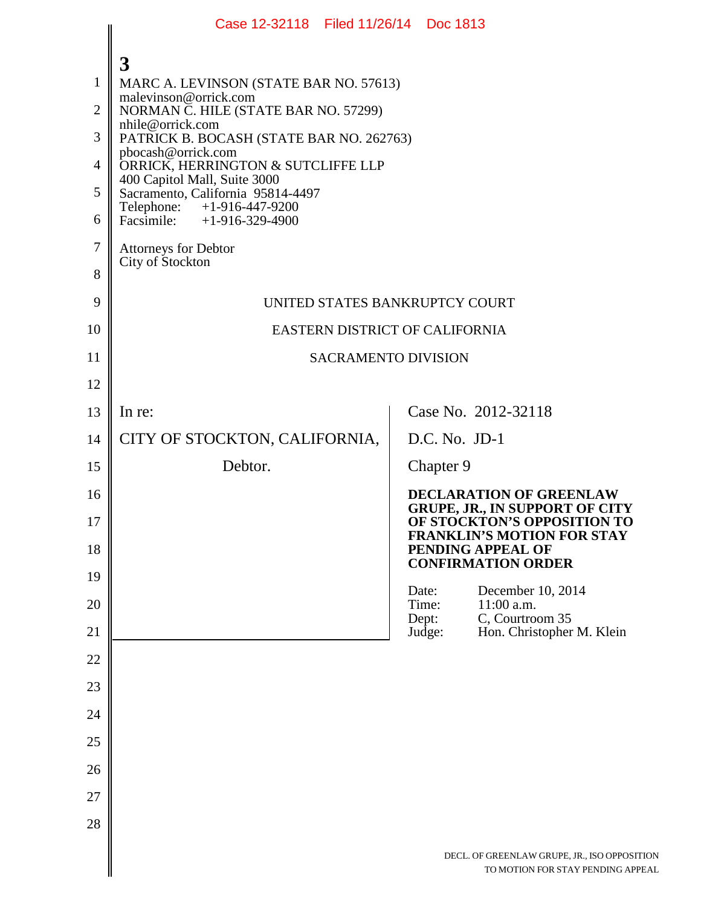|                                                                                   | Case 12-32118 Filed 11/26/14 Doc 1813                                                                                                                                                                                                                                                                                                                                                                                 |                |                 |                                                                                                                                             |  |
|-----------------------------------------------------------------------------------|-----------------------------------------------------------------------------------------------------------------------------------------------------------------------------------------------------------------------------------------------------------------------------------------------------------------------------------------------------------------------------------------------------------------------|----------------|-----------------|---------------------------------------------------------------------------------------------------------------------------------------------|--|
| $\mathbf{1}$<br>$\overline{2}$<br>3<br>$\overline{4}$<br>5<br>6<br>$\overline{7}$ | $\overline{3}$<br>MARC A. LEVINSON (STATE BAR NO. 57613)<br>malevinson@orrick.com<br>NORMAN C. HILE (STATE BAR NO. 57299)<br>nhile@orrick.com<br>PATRICK B. BOCASH (STATE BAR NO. 262763)<br>pbocash@orrick.com<br>ORRICK, HERRINGTON & SUTCLIFFE LLP<br>400 Capitol Mall, Suite 3000<br>Sacramento, California 95814-4497<br>Telephone: +1-916-447-9200<br>Facsimile: +1-916-329-4900<br><b>Attorneys for Debtor</b> |                |                 |                                                                                                                                             |  |
| 8                                                                                 | City of Stockton                                                                                                                                                                                                                                                                                                                                                                                                      |                |                 |                                                                                                                                             |  |
| 9                                                                                 | UNITED STATES BANKRUPTCY COURT                                                                                                                                                                                                                                                                                                                                                                                        |                |                 |                                                                                                                                             |  |
| 10                                                                                | EASTERN DISTRICT OF CALIFORNIA                                                                                                                                                                                                                                                                                                                                                                                        |                |                 |                                                                                                                                             |  |
| 11                                                                                | <b>SACRAMENTO DIVISION</b>                                                                                                                                                                                                                                                                                                                                                                                            |                |                 |                                                                                                                                             |  |
| 12                                                                                |                                                                                                                                                                                                                                                                                                                                                                                                                       |                |                 |                                                                                                                                             |  |
| 13                                                                                | In re:                                                                                                                                                                                                                                                                                                                                                                                                                |                |                 | Case No. 2012-32118                                                                                                                         |  |
| 14                                                                                | CITY OF STOCKTON, CALIFORNIA,                                                                                                                                                                                                                                                                                                                                                                                         |                | $D.C. No. JD-1$ |                                                                                                                                             |  |
| 15                                                                                | Debtor.                                                                                                                                                                                                                                                                                                                                                                                                               |                | Chapter 9       |                                                                                                                                             |  |
| 16<br>17                                                                          |                                                                                                                                                                                                                                                                                                                                                                                                                       |                |                 | <b>DECLARATION OF GREENLAW</b><br><b>GRUPE, JR., IN SUPPORT OF CITY</b><br>OF STOCKTON'S OPPOSITION TO<br><b>FRANKLIN'S MOTION FOR STAY</b> |  |
| 18                                                                                |                                                                                                                                                                                                                                                                                                                                                                                                                       |                |                 | PENDING APPEAL OF<br><b>CONFIRMATION ORDER</b>                                                                                              |  |
| 19<br>20                                                                          |                                                                                                                                                                                                                                                                                                                                                                                                                       | Date:<br>Time: |                 | December 10, 2014<br>11:00 a.m.                                                                                                             |  |
| 21                                                                                |                                                                                                                                                                                                                                                                                                                                                                                                                       |                | Dept:<br>Judge: | C, Courtroom 35<br>Hon. Christopher M. Klein                                                                                                |  |
| 22                                                                                |                                                                                                                                                                                                                                                                                                                                                                                                                       |                |                 |                                                                                                                                             |  |
| 23                                                                                |                                                                                                                                                                                                                                                                                                                                                                                                                       |                |                 |                                                                                                                                             |  |
| 24                                                                                |                                                                                                                                                                                                                                                                                                                                                                                                                       |                |                 |                                                                                                                                             |  |
| 25                                                                                |                                                                                                                                                                                                                                                                                                                                                                                                                       |                |                 |                                                                                                                                             |  |
| 26                                                                                |                                                                                                                                                                                                                                                                                                                                                                                                                       |                |                 |                                                                                                                                             |  |
| 27                                                                                |                                                                                                                                                                                                                                                                                                                                                                                                                       |                |                 |                                                                                                                                             |  |
| 28                                                                                |                                                                                                                                                                                                                                                                                                                                                                                                                       |                |                 |                                                                                                                                             |  |
|                                                                                   |                                                                                                                                                                                                                                                                                                                                                                                                                       |                |                 | DECL. OF GREENLAW GRUPE, JR., ISO OPPOSITIO<br>TO MOTION FOR STAY PENDING APPE.                                                             |  |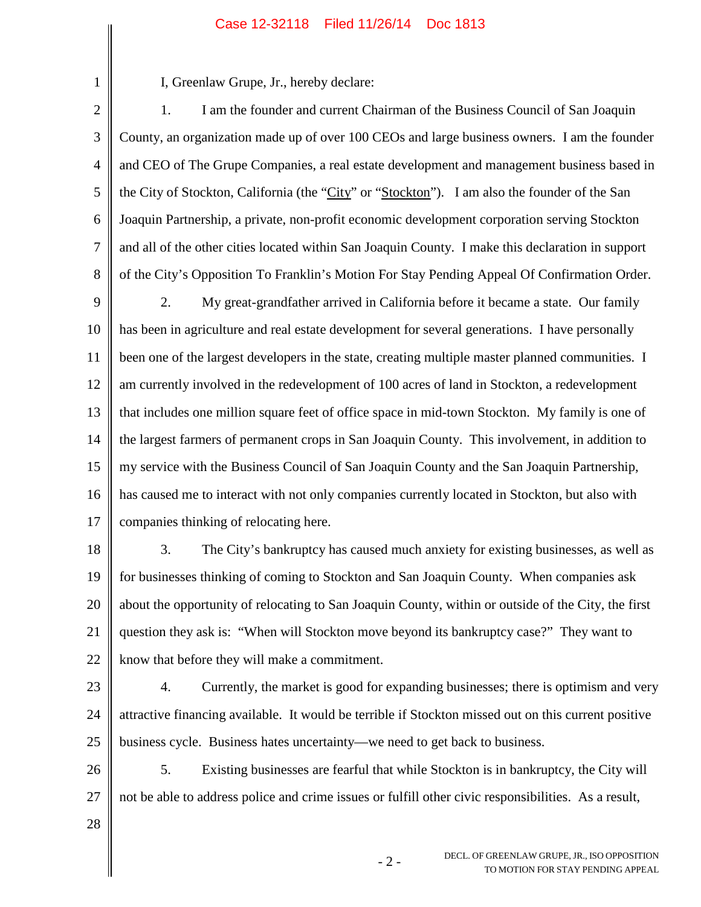## Case 12-32118 Filed 11/26/14 Doc 1813

I, Greenlaw Grupe, Jr., hereby declare:

2 3 4 5 6 7 8 1. I am the founder and current Chairman of the Business Council of San Joaquin County, an organization made up of over 100 CEOs and large business owners. I am the founder and CEO of The Grupe Companies, a real estate development and management business based in the City of Stockton, California (the "City" or "Stockton"). I am also the founder of the San Joaquin Partnership, a private, non-profit economic development corporation serving Stockton and all of the other cities located within San Joaquin County. I make this declaration in support of the City's Opposition To Franklin's Motion For Stay Pending Appeal Of Confirmation Order.

9 10 11 12 13 14 15 16 17 2. My great-grandfather arrived in California before it became a state. Our family has been in agriculture and real estate development for several generations. I have personally been one of the largest developers in the state, creating multiple master planned communities. I am currently involved in the redevelopment of 100 acres of land in Stockton, a redevelopment that includes one million square feet of office space in mid-town Stockton. My family is one of the largest farmers of permanent crops in San Joaquin County. This involvement, in addition to my service with the Business Council of San Joaquin County and the San Joaquin Partnership, has caused me to interact with not only companies currently located in Stockton, but also with companies thinking of relocating here.

18 19 20 21 22 3. The City's bankruptcy has caused much anxiety for existing businesses, as well as for businesses thinking of coming to Stockton and San Joaquin County. When companies ask about the opportunity of relocating to San Joaquin County, within or outside of the City, the first question they ask is: "When will Stockton move beyond its bankruptcy case?" They want to know that before they will make a commitment.

23

1

24 25 4. Currently, the market is good for expanding businesses; there is optimism and very attractive financing available. It would be terrible if Stockton missed out on this current positive business cycle. Business hates uncertainty—we need to get back to business.

26 27 5. Existing businesses are fearful that while Stockton is in bankruptcy, the City will not be able to address police and crime issues or fulfill other civic responsibilities. As a result,

28